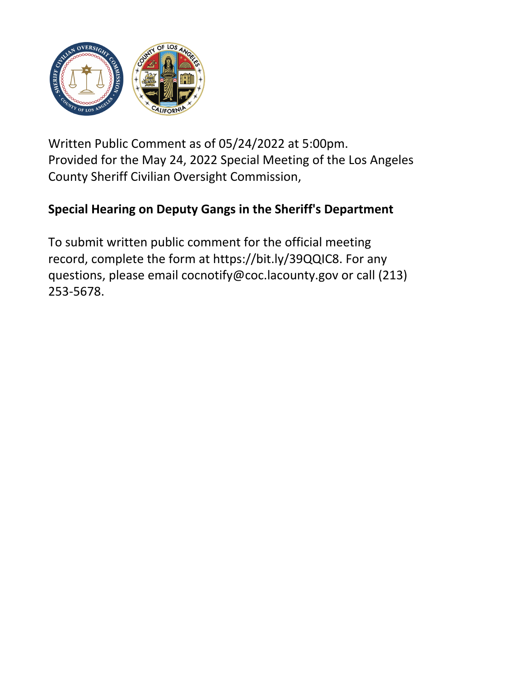

Written Public Comment as of 05/24/2022 at 5:00pm. Provided for the May 24, 2022 Special Meeting of the Los Angeles County Sheriff Civilian Oversight Commission,

## **Special Hearing on Deputy Gangs in the Sheriff's Department**

To submit written public comment for the official meeting record, complete the form at https://bit.ly/39QQIC8. For any questions, please email cocnotify@coc.lacounty.gov or call (213) 253-5678.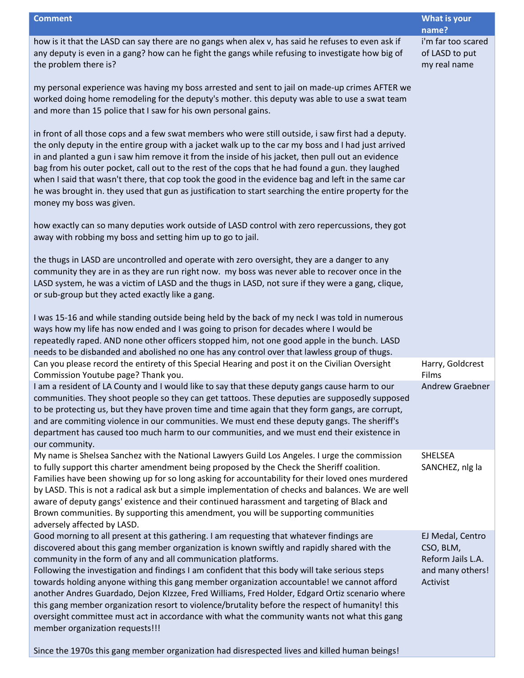**Comment What is your name?** how is it that the LASD can say there are no gangs when alex v, has said he refuses to even ask if any deputy is even in a gang? how can he fight the gangs while refusing to investigate how big of the problem there is? my personal experience was having my boss arrested and sent to jail on made-up crimes AFTER we worked doing home remodeling for the deputy's mother. this deputy was able to use a swat team and more than 15 police that I saw for his own personal gains. in front of all those cops and a few swat members who were still outside, i saw first had a deputy. the only deputy in the entire group with a jacket walk up to the car my boss and I had just arrived in and planted a gun i saw him remove it from the inside of his jacket, then pull out an evidence bag from his outer pocket, call out to the rest of the cops that he had found a gun. they laughed when I said that wasn't there, that cop took the good in the evidence bag and left in the same car he was brought in. they used that gun as justification to start searching the entire property for the money my boss was given. how exactly can so many deputies work outside of LASD control with zero repercussions, they got away with robbing my boss and setting him up to go to jail. the thugs in LASD are uncontrolled and operate with zero oversight, they are a danger to any community they are in as they are run right now. my boss was never able to recover once in the LASD system, he was a victim of LASD and the thugs in LASD, not sure if they were a gang, clique, or sub-group but they acted exactly like a gang. I was 15-16 and while standing outside being held by the back of my neck I was told in numerous ways how my life has now ended and I was going to prison for decades where I would be repeatedly raped. AND none other officers stopped him, not one good apple in the bunch. LASD needs to be disbanded and abolished no one has any control over that lawless group of thugs. i'm far too scared of LASD to put my real name Can you please record the entirety of this Special Hearing and post it on the Civilian Oversight Commission Youtube page? Thank you. Harry, Goldcrest Films I am a resident of LA County and I would like to say that these deputy gangs cause harm to our communities. They shoot people so they can get tattoos. These deputies are supposedly supposed to be protecting us, but they have proven time and time again that they form gangs, are corrupt, and are commiting violence in our communities. We must end these deputy gangs. The sheriff's department has caused too much harm to our communities, and we must end their existence in our community. Andrew Graebner My name is Shelsea Sanchez with the National Lawyers Guild Los Angeles. I urge the commission to fully support this charter amendment being proposed by the Check the Sheriff coalition. Families have been showing up for so long asking for accountability for their loved ones murdered by LASD. This is not a radical ask but a simple implementation of checks and balances. We are well aware of deputy gangs' existence and their continued harassment and targeting of Black and Brown communities. By supporting this amendment, you will be supporting communities adversely affected by LASD. SHELSEA SANCHEZ, nlg la Good morning to all present at this gathering. I am requesting that whatever findings are discovered about this gang member organization is known swiftly and rapidly shared with the community in the form of any and all communication platforms. Following the investigation and findings I am confident that this body will take serious steps towards holding anyone withing this gang member organization accountable! we cannot afford another Andres Guardado, Dejon KIzzee, Fred Williams, Fred Holder, Edgard Ortiz scenario where this gang member organization resort to violence/brutality before the respect of humanity! this oversight committee must act in accordance with what the community wants not what this gang member organization requests!!! EJ Medal, Centro CSO, BLM, Reform Jails L.A. and many others! Activist

Since the 1970s this gang member organization had disrespected lives and killed human beings!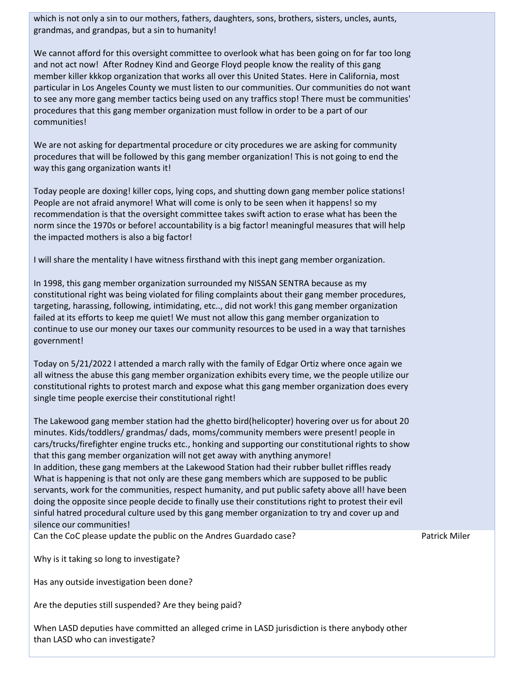which is not only a sin to our mothers, fathers, daughters, sons, brothers, sisters, uncles, aunts, grandmas, and grandpas, but a sin to humanity!

We cannot afford for this oversight committee to overlook what has been going on for far too long and not act now! After Rodney Kind and George Floyd people know the reality of this gang member killer kkkop organization that works all over this United States. Here in California, most particular in Los Angeles County we must listen to our communities. Our communities do not want to see any more gang member tactics being used on any traffics stop! There must be communities' procedures that this gang member organization must follow in order to be a part of our communities!

We are not asking for departmental procedure or city procedures we are asking for community procedures that will be followed by this gang member organization! This is not going to end the way this gang organization wants it!

Today people are doxing! killer cops, lying cops, and shutting down gang member police stations! People are not afraid anymore! What will come is only to be seen when it happens! so my recommendation is that the oversight committee takes swift action to erase what has been the norm since the 1970s or before! accountability is a big factor! meaningful measures that will help the impacted mothers is also a big factor!

I will share the mentality I have witness firsthand with this inept gang member organization.

In 1998, this gang member organization surrounded my NISSAN SENTRA because as my constitutional right was being violated for filing complaints about their gang member procedures, targeting, harassing, following, intimidating, etc.., did not work! this gang member organization failed at its efforts to keep me quiet! We must not allow this gang member organization to continue to use our money our taxes our community resources to be used in a way that tarnishes government!

Today on 5/21/2022 I attended a march rally with the family of Edgar Ortiz where once again we all witness the abuse this gang member organization exhibits every time, we the people utilize our constitutional rights to protest march and expose what this gang member organization does every single time people exercise their constitutional right!

The Lakewood gang member station had the ghetto bird(helicopter) hovering over us for about 20 minutes. Kids/toddlers/ grandmas/ dads, moms/community members were present! people in cars/trucks/firefighter engine trucks etc., honking and supporting our constitutional rights to show that this gang member organization will not get away with anything anymore! In addition, these gang members at the Lakewood Station had their rubber bullet riffles ready What is happening is that not only are these gang members which are supposed to be public servants, work for the communities, respect humanity, and put public safety above all! have been doing the opposite since people decide to finally use their constitutions right to protest their evil sinful hatred procedural culture used by this gang member organization to try and cover up and silence our communities!

Can the CoC please update the public on the Andres Guardado case?

Patrick Miler

Why is it taking so long to investigate?

Has any outside investigation been done?

Are the deputies still suspended? Are they being paid?

When LASD deputies have committed an alleged crime in LASD jurisdiction is there anybody other than LASD who can investigate?